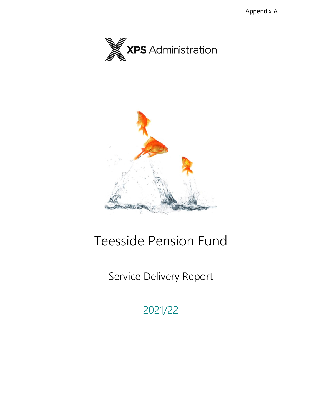



# Teesside Pension Fund

# Service Delivery Report

2021/22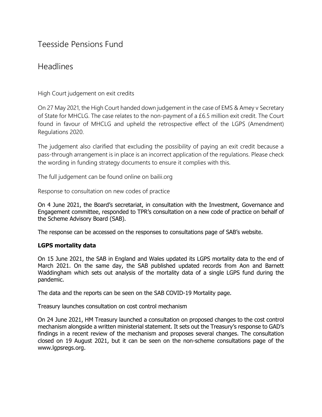## Teesside Pensions Fund

### Headlines

High Court judgement on exit credits

On 27 May 2021, the High Court handed down judgement in the case of EMS & Amey v Secretary of State for MHCLG. The case relates to the non-payment of a £6.5 million exit credit. The Court found in favour of MHCLG and upheld the retrospective effect of the LGPS (Amendment) Regulations 2020.

The judgement also clarified that excluding the possibility of paying an exit credit because a pass-through arrangement is in place is an incorrect application of the regulations. Please check the wording in funding strategy documents to ensure it complies with this.

The full judgement can be found online on bailii.org

Response to consultation on new codes of practice

On 4 June 2021, the Board's secretariat, in consultation with the Investment, Governance and Engagement committee, responded to TPR's consultation on a new code of practice on behalf of the Scheme Advisory Board (SAB).

The response can be accessed on the responses to consultations page of SAB's website.

### **LGPS mortality data**

On 15 June 2021, the SAB in England and Wales updated its LGPS mortality data to the end of March 2021. On the same day, the SAB published updated records from Aon and Barnett Waddingham which sets out analysis of the mortality data of a single LGPS fund during the pandemic.

The data and the reports can be seen on the SAB COVID-19 Mortality page.

Treasury launches consultation on cost control mechanism

On 24 June 2021, HM Treasury launched a consultation on proposed changes to the cost control mechanism alongside a written ministerial statement. It sets out the Treasury's response to GAD's findings in a recent review of the mechanism and proposes several changes. The consultation closed on 19 August 2021, but it can be seen on the non-scheme consultations page of the www.lgpsregs.org.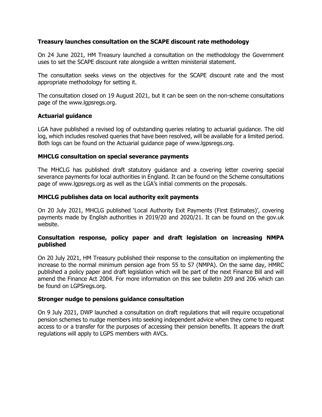#### **Treasury launches consultation on the SCAPE discount rate methodology**

On 24 June 2021, HM Treasury launched a consultation on the methodology the Government uses to set the SCAPE discount rate alongside a written ministerial statement.

The consultation seeks views on the objectives for the SCAPE discount rate and the most appropriate methodology for setting it.

The consultation closed on 19 August 2021, but it can be seen on the non-scheme consultations page of the www.lgpsregs.org.

#### **Actuarial guidance**

LGA have published a revised log of outstanding queries relating to actuarial guidance. The old log, which includes resolved queries that have been resolved, will be available for a limited period. Both logs can be found on the Actuarial guidance page of www.lgpsregs.org.

#### **MHCLG consultation on special severance payments**

The MHCLG has published draft statutory guidance and a covering letter covering special severance payments for local authorities in England. It can be found on the Scheme consultations page of www.lgpsregs.org as well as the LGA's initial comments on the proposals.

#### **MHCLG publishes data on local authority exit payments**

On 20 July 2021, MHCLG published 'Local Authority Exit Payments (First Estimates)', covering payments made by English authorities in 2019/20 and 2020/21. It can be found on the gov.uk website.

#### **Consultation response, policy paper and draft legislation on increasing NMPA published**

On 20 July 2021, HM Treasury published their response to the consultation on implementing the increase to the normal minimum pension age from 55 to 57 (NMPA). On the same day, HMRC published a policy paper and draft legislation which will be part of the next Finance Bill and will amend the Finance Act 2004. For more information on this see bulletin 209 and 206 which can be found on LGPSregs.org.

#### **Stronger nudge to pensions guidance consultation**

On 9 July 2021, DWP launched a consultation on draft regulations that will require occupational pension schemes to nudge members into seeking independent advice when they come to request access to or a transfer for the purposes of accessing their pension benefits. It appears the draft regulations will apply to LGPS members with AVCs.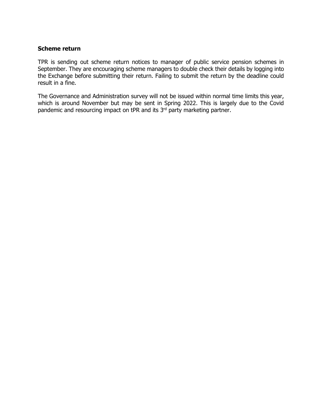#### **Scheme return**

TPR is sending out scheme return notices to manager of public service pension schemes in September. They are encouraging scheme managers to double check their details by logging into the Exchange before submitting their return. Failing to submit the return by the deadline could result in a fine.

The Governance and Administration survey will not be issued within normal time limits this year, which is around November but may be sent in Spring 2022. This is largely due to the Covid pandemic and resourcing impact on tPR and its 3<sup>rd</sup> party marketing partner.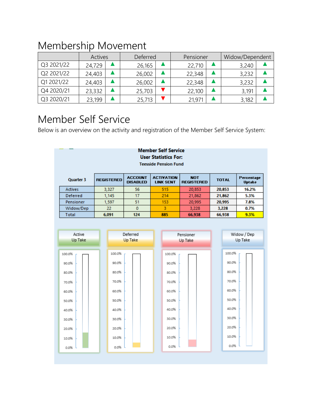# Membership Movement

|            | Actives |  | Deferred |  | Pensioner |  | Widow/Dependent |  |
|------------|---------|--|----------|--|-----------|--|-----------------|--|
| Q3 2021/22 | 24,729  |  | 26,165   |  | 22,710    |  | 3,240           |  |
| Q2 2021/22 | 24,403  |  | 26,002   |  | 22,348    |  | 3,232           |  |
| Q1 2021/22 | 24,403  |  | 26,002   |  | 22,348    |  | 3,232           |  |
| Q4 2020/21 | 23,332  |  | 25,703   |  | 22,100    |  | 3,191           |  |
| Q3 2020/21 | 23,199  |  | 25,713   |  | 21,971    |  | 3,182           |  |

# Member Self Service

Below is an overview on the activity and registration of the Member Self Service System:

| <b>Member Self Service</b><br><b>User Statistics For:</b><br><b>Teesside Pension Fund</b> |                   |                                   |                                       |                                 |              |                             |  |  |  |
|-------------------------------------------------------------------------------------------|-------------------|-----------------------------------|---------------------------------------|---------------------------------|--------------|-----------------------------|--|--|--|
| Quarter 3                                                                                 | <b>REGISTERED</b> | <b>ACCOUNT</b><br><b>DISABLED</b> | <b>ACTIVATION</b><br><b>LINK SENT</b> | <b>NOT</b><br><b>REGISTERED</b> | <b>TOTAL</b> | Percentage<br><b>Uptake</b> |  |  |  |
| <b>Actives</b>                                                                            | 3.327             | 56                                | 515                                   | 20,853                          | 20,853       | 16.2%                       |  |  |  |
| Deferred                                                                                  | 1,145             | 17                                | 214                                   | 21,862                          | 21,862       | 5.3%                        |  |  |  |
| Pensioner                                                                                 | 1.597             | 51                                | 153                                   | 20,995                          | 20,995       | 7.8%                        |  |  |  |
| Widow/Dep                                                                                 | 22                | 0                                 | 3                                     | 3.228                           | 3,228        | 0.7%                        |  |  |  |
| Total                                                                                     | 6.091             | 124                               | 885                                   | 66.938                          | 66,938       | 9.3%                        |  |  |  |

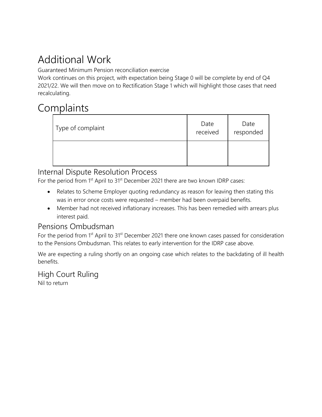# Additional Work

Guaranteed Minimum Pension reconciliation exercise

Work continues on this project, with expectation being Stage 0 will be complete by end of Q4 2021/22. We will then move on to Rectification Stage 1 which will highlight those cases that need recalculating.

# **Complaints**

| Type of complaint | Date<br>received | Date<br>responded |
|-------------------|------------------|-------------------|
|                   |                  |                   |

### Internal Dispute Resolution Process

For the period from 1<sup>st</sup> April to 31<sup>st</sup> December 2021 there are two known IDRP cases:

- Relates to Scheme Employer quoting redundancy as reason for leaving then stating this was in error once costs were requested – member had been overpaid benefits.
- Member had not received inflationary increases. This has been remedied with arrears plus interest paid.

### Pensions Ombudsman

For the period from 1<sup>st</sup> April to 31<sup>st</sup> December 2021 there one known cases passed for consideration to the Pensions Ombudsman. This relates to early intervention for the IDRP case above.

We are expecting a ruling shortly on an ongoing case which relates to the backdating of ill health benefits.

High Court Ruling Nil to return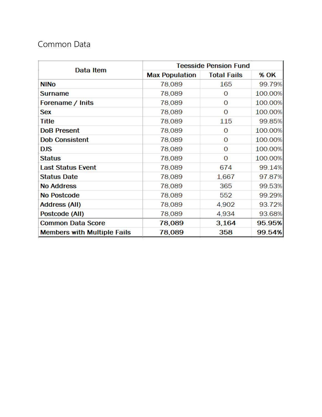## Common Data

|                                    | <b>Teesside Pension Fund</b> |                    |             |  |  |  |  |
|------------------------------------|------------------------------|--------------------|-------------|--|--|--|--|
| Data Item                          | <b>Max Population</b>        | <b>Total Fails</b> | <b>% OK</b> |  |  |  |  |
| <b>NINO</b>                        | 78,089                       | 165                | 99.79%      |  |  |  |  |
| Surname                            | 78,089                       | Ω                  | 100.00%     |  |  |  |  |
| Forename / Inits                   | 78,089                       | 0                  | 100.00%     |  |  |  |  |
| <b>Sex</b>                         | 78,089                       | 0                  | 100.00%     |  |  |  |  |
| Title                              | 78,089                       | 115                | 99.85%      |  |  |  |  |
| <b>DoB Present</b>                 | 78,089                       | O                  | 100.00%     |  |  |  |  |
| <b>Dob Consistent</b>              | 78,089                       | O                  | 100.00%     |  |  |  |  |
| DJS                                | 78,089                       | O                  | 100.00%     |  |  |  |  |
| <b>Status</b>                      | 78,089                       | O                  | 100.00%     |  |  |  |  |
| <b>Last Status Event</b>           | 78,089                       | 674                | 99.14%      |  |  |  |  |
| <b>Status Date</b>                 | 78,089                       | 1,667              | 97.87%      |  |  |  |  |
| <b>No Address</b>                  | 78,089                       | 365                | 99.53%      |  |  |  |  |
| <b>No Postcode</b>                 | 78,089                       | 552                | 99.29%      |  |  |  |  |
| <b>Address (All)</b>               | 78,089                       | 4,902              | 93.72%      |  |  |  |  |
| Postcode (All)                     | 78,089                       | 4,934              | 93.68%      |  |  |  |  |
| <b>Common Data Score</b>           | 78,089                       | 3.164              | 95.95%      |  |  |  |  |
| <b>Members with Multiple Fails</b> | 78,089                       | 358                | 99.54%      |  |  |  |  |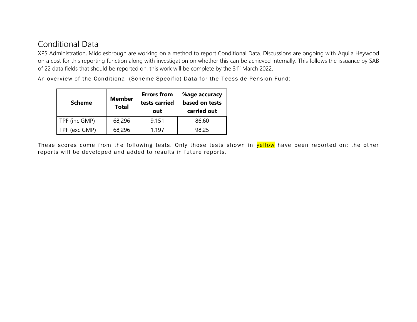## Conditional Data

XPS Administration, Middlesbrough are working on a method to report Conditional Data. Discussions are ongoing with Aquila Heywood on a cost for this reporting function along with investigation on whether this can be achieved internally. This follows the issuance by SAB of 22 data fields that should be reported on, this work will be complete by the 31<sup>st</sup> March 2022.

An overview of the Conditional (Scheme Specific) Data for the Teesside Pension Fund:

| <b>Scheme</b> | <b>Member</b><br><b>Total</b> | <b>Errors from</b><br>tests carried<br>out | %age accuracy<br>based on tests<br>carried out |  |
|---------------|-------------------------------|--------------------------------------------|------------------------------------------------|--|
| TPF (inc GMP) | 68,296                        | 9,151                                      | 86.60                                          |  |
| TPF (exc GMP) | 68,296                        | 1,197                                      | 98.25                                          |  |

These scores come from the following tests. Only those tests shown in yellow have been reported on; the other reports will be developed and added to results in future reports.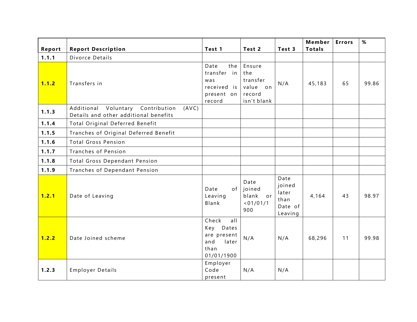|        |                                                                                     |                                                                                |                                                                |                                                       | Member        | <b>Errors</b> | $\%$  |
|--------|-------------------------------------------------------------------------------------|--------------------------------------------------------------------------------|----------------------------------------------------------------|-------------------------------------------------------|---------------|---------------|-------|
| Report | <b>Report Description</b>                                                           | Test 1                                                                         | Test 2                                                         | Test 3                                                | <b>Totals</b> |               |       |
| 1.1.1  | Divorce Details                                                                     |                                                                                |                                                                |                                                       |               |               |       |
| 1.1.2  | Transfers in                                                                        | Date<br>the<br>transfer in<br>was<br>received is<br>present on<br>record       | Ensure<br>the<br>transfer<br>value on<br>record<br>isn't blank | N/A                                                   | 45,183        | 65            | 99.86 |
| 1.1.3  | Additional Voluntary Contribution<br>(AVC)<br>Details and other additional benefits |                                                                                |                                                                |                                                       |               |               |       |
| 1.1.4  | Total Original Deferred Benefit                                                     |                                                                                |                                                                |                                                       |               |               |       |
| 1.1.5  | Tranches of Original Deferred Benefit                                               |                                                                                |                                                                |                                                       |               |               |       |
| 1.1.6  | <b>Total Gross Pension</b>                                                          |                                                                                |                                                                |                                                       |               |               |       |
| 1.1.7  | Tranches of Pension                                                                 |                                                                                |                                                                |                                                       |               |               |       |
| 1.1.8  | Total Gross Dependant Pension                                                       |                                                                                |                                                                |                                                       |               |               |       |
| 1.1.9  | Tranches of Dependant Pension                                                       |                                                                                |                                                                |                                                       |               |               |       |
| 1.2.1  | Date of Leaving                                                                     | of<br>Date<br>Leaving<br>Blank                                                 | Date<br>joined<br>blank<br>or<br>< 01/01/1<br>900              | Date<br>joined<br>later<br>than<br>Date of<br>Leaving | 4,164         | 43            | 98.97 |
| 1.2.2  | Date Joined scheme                                                                  | Check<br>all<br>Key Dates<br>are present<br>and<br>later<br>than<br>01/01/1900 | N/A                                                            | N/A                                                   | 68,296        | 11            | 99.98 |
| 1.2.3  | <b>Employer Details</b>                                                             | Employer<br>Code<br>present                                                    | N/A                                                            | N/A                                                   |               |               |       |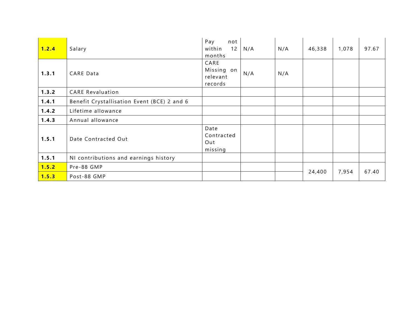| 1.2.4 | Salary                                      | Pay<br>not<br>within<br>12<br>months      | N/A | N/A | 46,338 | 1,078 | 97.67 |
|-------|---------------------------------------------|-------------------------------------------|-----|-----|--------|-------|-------|
| 1.3.1 | <b>CARE Data</b>                            | CARE<br>Missing on<br>relevant<br>records | N/A | N/A |        |       |       |
| 1.3.2 | <b>CARE Revaluation</b>                     |                                           |     |     |        |       |       |
| 1.4.1 | Benefit Crystallisation Event (BCE) 2 and 6 |                                           |     |     |        |       |       |
| 1.4.2 | Lifetime allowance                          |                                           |     |     |        |       |       |
| 1.4.3 | Annual allowance                            |                                           |     |     |        |       |       |
| 1.5.1 | Date Contracted Out                         | Date<br>Contracted<br>Out<br>missing      |     |     |        |       |       |
| 1.5.1 | NI contributions and earnings history       |                                           |     |     |        |       |       |
| 1.5.2 | Pre-88 GMP                                  |                                           |     |     |        |       |       |
| 1.5.3 | Post-88 GMP                                 |                                           |     |     | 24,400 | 7,954 | 67.40 |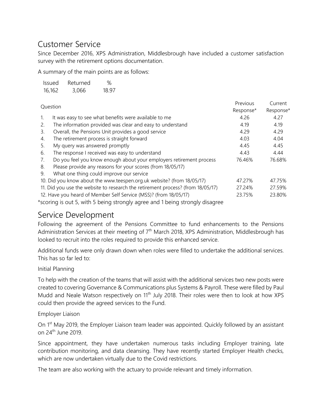## Customer Service

Since December 2016, XPS Administration, Middlesbrough have included a customer satisfaction survey with the retirement options documentation.

A summary of the main points are as follows:

| Issued | Returned | %     |
|--------|----------|-------|
| 16,162 | 3,066    | 18.97 |

| Question |                                                                                 | Previous  | Current   |
|----------|---------------------------------------------------------------------------------|-----------|-----------|
|          |                                                                                 | Response* | Response* |
| 1.       | It was easy to see what benefits were available to me                           | 4.26      | 4.27      |
| 2.       | The information provided was clear and easy to understand                       | 4.19      | 4.19      |
| 3.       | Overall, the Pensions Unit provides a good service                              | 4.29      | 4.29      |
| 4.       | The retirement process is straight forward                                      | 4.03      | 4.04      |
| 5.       | My query was answered promptly                                                  | 4.45      | 4.45      |
| 6.       | The response I received was easy to understand                                  | 4.43      | 4.44      |
| 7.       | Do you feel you know enough about your employers retirement process             | 76.46%    | 76.68%    |
| 8.       | Please provide any reasons for your scores (from 18/05/17)                      |           |           |
| 9.       | What one thing could improve our service                                        |           |           |
|          | 10. Did you know about the www.teespen.org.uk website? (from 18/05/17)          | 47.27%    | 47.75%    |
|          | 11. Did you use the website to research the retirement process? (from 18/05/17) | 27.24%    | 27.59%    |
|          | 12. Have you heard of Member Self Service (MSS)? (from 18/05/17)                | 23.75%    | 23.80%    |

\*scoring is out 5, with 5 being strongly agree and 1 being strongly disagree

### Service Development

Following the agreement of the Pensions Committee to fund enhancements to the Pensions Administration Services at their meeting of  $7<sup>th</sup>$  March 2018, XPS Administration, Middlesbrough has looked to recruit into the roles required to provide this enhanced service.

Additional funds were only drawn down when roles were filled to undertake the additional services. This has so far led to:

### Initial Planning

To help with the creation of the teams that will assist with the additional services two new posts were created to covering Governance & Communications plus Systems & Payroll. These were filled by Paul Mudd and Neale Watson respectively on 11<sup>th</sup> July 2018. Their roles were then to look at how XPS could then provide the agreed services to the Fund.

Employer Liaison

On 1<sup>st</sup> May 2019, the Employer Liaison team leader was appointed. Quickly followed by an assistant on 24th June 2019.

Since appointment, they have undertaken numerous tasks including Employer training, late contribution monitoring, and data cleansing. They have recently started Employer Health checks, which are now undertaken virtually due to the Covid restrictions.

The team are also working with the actuary to provide relevant and timely information.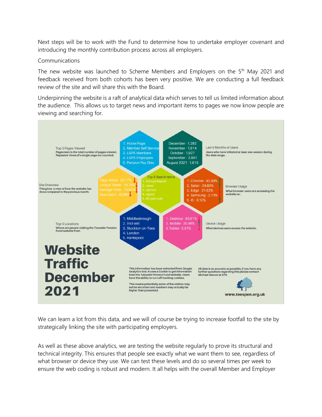Next steps will be to work with the Fund to determine how to undertake employer covenant and introducing the monthly contribution process across all employers.

#### Communications

The new website was launched to Scheme Members and Employers on the 5<sup>th</sup> May 2021 and feedback received from both cohorts has been very positive. We are conducting a full feedback review of the site and will share this with the Board.

Underpinning the website is a raft of analytical data which serves to tell us limited information about the audience. This allows us to target news and important items to pages we now know people are viewing and searching for.



We can learn a lot from this data, and we will of course be trying to increase footfall to the site by strategically linking the site with participating employers.

As well as these above analytics, we are testing the website regularly to prove its structural and technical integrity. This ensures that people see exactly what we want them to see, regardless of what browser or device they use. We can test these levels and do so several times per week to ensure the web coding is robust and modern. It all helps with the overall Member and Employer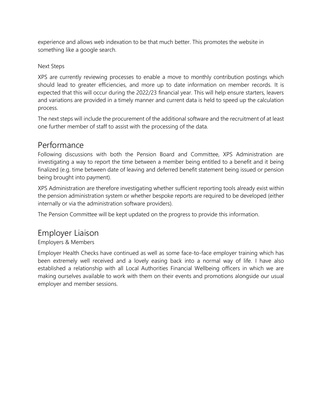experience and allows web indexation to be that much better. This promotes the website in something like a google search.

### Next Steps

XPS are currently reviewing processes to enable a move to monthly contribution postings which should lead to greater efficiencies, and more up to date information on member records. It is expected that this will occur during the 2022/23 financial year. This will help ensure starters, leavers and variations are provided in a timely manner and current data is held to speed up the calculation process.

The next steps will include the procurement of the additional software and the recruitment of at least one further member of staff to assist with the processing of the data.

### Performance

Following discussions with both the Pension Board and Committee, XPS Administration are investigating a way to report the time between a member being entitled to a benefit and it being finalized (e.g. time between date of leaving and deferred benefit statement being issued or pension being brought into payment).

XPS Administration are therefore investigating whether sufficient reporting tools already exist within the pension administration system or whether bespoke reports are required to be developed (either internally or via the administration software providers).

The Pension Committee will be kept updated on the progress to provide this information.

## Employer Liaison

Employers & Members

Employer Health Checks have continued as well as some face-to-face employer training which has been extremely well received and a lovely easing back into a normal way of life. I have also established a relationship with all Local Authorities Financial Wellbeing officers in which we are making ourselves available to work with them on their events and promotions alongside our usual employer and member sessions.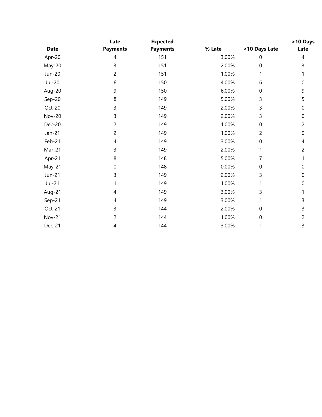|               | Late            | <b>Expected</b> |        |                | >10 Days       |
|---------------|-----------------|-----------------|--------|----------------|----------------|
| <b>Date</b>   | <b>Payments</b> | <b>Payments</b> | % Late | <10 Days Late  | Late           |
| Apr-20        | 4               | 151             | 3.00%  | 0              | 4              |
| May-20        | 3               | 151             | 2.00%  | 0              | 3              |
| Jun-20        | $\overline{c}$  | 151             | 1.00%  | 1              |                |
| Jul-20        | 6               | 150             | 4.00%  | 6              | 0              |
| Aug-20        | 9               | 150             | 6.00%  | $\pmb{0}$      | 9              |
| Sep-20        | 8               | 149             | 5.00%  | 3              | 5              |
| Oct-20        | 3               | 149             | 2.00%  | 3              | 0              |
| <b>Nov-20</b> | 3               | 149             | 2.00%  | 3              | 0              |
| <b>Dec-20</b> | $\overline{c}$  | 149             | 1.00%  | $\mathbf 0$    | $\overline{2}$ |
| $Jan-21$      | $\overline{c}$  | 149             | 1.00%  | $\overline{2}$ | 0              |
| Feb-21        | 4               | 149             | 3.00%  | $\mathbf 0$    | 4              |
| Mar-21        | 3               | 149             | 2.00%  | 1              | 2              |
| Apr-21        | 8               | 148             | 5.00%  | 7              |                |
| May-21        | $\mathbf 0$     | 148             | 0.00%  | 0              | 0              |
| Jun-21        | 3               | 149             | 2.00%  | 3              | 0              |
| Jul-21        |                 | 149             | 1.00%  | 1              | 0              |
| Aug-21        | 4               | 149             | 3.00%  | 3              |                |
| Sep-21        | 4               | 149             | 3.00%  |                | 3              |
| Oct-21        | 3               | 144             | 2.00%  | 0              | 3              |
| <b>Nov-21</b> | 2               | 144             | 1.00%  | $\mathbf 0$    | 2              |
| Dec-21        | 4               | 144             | 3.00%  | 1              | 3              |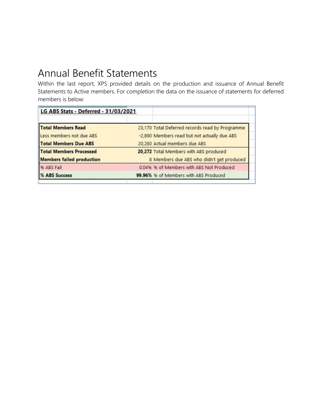# Annual Benefit Statements

Within the last report, XPS provided details on the production and issuance of Annual Benefit Statements to Active members. For completion the data on the issuance of statements for deferred members is below:

| LG ABS Stats - Deferred - 31/03/2021            |
|-------------------------------------------------|
| 23,170 Total Deferred records read by Programme |
| -2,890 Members read but not actually due ABS    |
| 20,280 Actual members due ABS                   |
| 20,272 Total Members with ABS produced          |
| 8 Members due ABS who didn't get produced       |
| 0.04% % of Members with ABS Not Produced        |
| 99.96% % of Members with ABS Produced           |
|                                                 |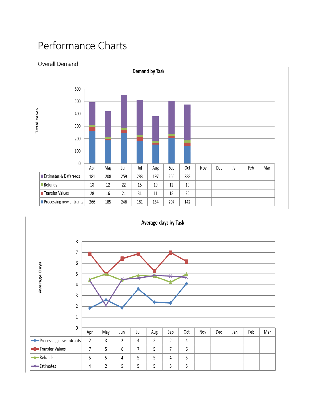# Performance Charts

### Overall Demand



Demand by Task

Average days by Task

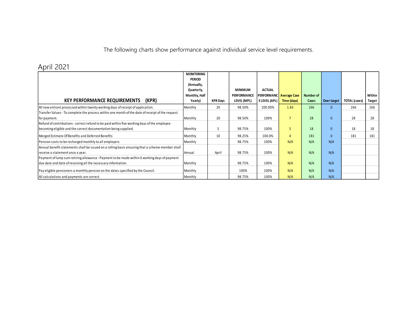The following charts show performance against individual service level requirements.

## April 2021

|                                                                                                  | <b>MONITORING</b> |                 |                    |                     |                     |           |              |                      |        |
|--------------------------------------------------------------------------------------------------|-------------------|-----------------|--------------------|---------------------|---------------------|-----------|--------------|----------------------|--------|
|                                                                                                  | <b>PERIOD</b>     |                 |                    |                     |                     |           |              |                      |        |
|                                                                                                  | (Annually,        |                 |                    |                     |                     |           |              |                      |        |
|                                                                                                  | Quarterly,        |                 | <b>MINIMUM</b>     | <b>ACTUAL</b>       |                     |           |              |                      |        |
|                                                                                                  | Monthly, Half     |                 | <b>PERFORMANCE</b> | <b>PERFORMANC</b>   | <b>Average Case</b> | Number of |              |                      | Within |
| (KPR)<br><b>KEY PERFORMANCE REQUIREMENTS</b>                                                     | Yearly)           | <b>KPR Days</b> | LEVEL (MPL)        | <b>ELEVEL (APL)</b> | Time (days)         | Cases     | Over target  | <b>TOTAL</b> (cases) | Target |
| All new entrant processed within twenty working days of receipt of application.                  | Monthly           | 20              | 98.50%             | 100.00%             | 1.83                | 266       | $\Omega$     | 266                  | 266    |
| Transfer Values - To complete the process within one month of the date of receipt of the request |                   |                 |                    |                     |                     |           |              |                      |        |
| for payment.                                                                                     | Monthly           | 20              | 98.50%             | 100%                | $\overline{7}$      | 28        | $\mathbf{0}$ | 28                   | 28     |
| Refund of contributions - correct refund to be paid within five working days of the employee     |                   |                 |                    |                     |                     |           |              |                      |        |
| becoming eligible and the correct documentation being supplied.                                  | Monthly           | 5               | 98.75%             | 100%                | 5                   | 18        | $\mathbf{0}$ | 18                   | 18     |
| Merged Estimate Of Benefits and Deferred Benefits                                                | Monthly           | 10              | 98.25%             | 100.0%              | 4                   | 181       | $\mathbf{0}$ | 181                  | 181    |
| Pension costs to be recharged monthly to all employers.                                          | Monthly           |                 | 98.75%             | 100%                | N/A                 | N/A       | N/A          |                      |        |
| Annual benefit statements shall be issued on a rolling basis ensuring that a scheme member shall |                   |                 |                    |                     |                     |           |              |                      |        |
| receive a statement once a year.                                                                 | Annual            | April           | 98.75%             | 100%                | N/A                 | N/A       | N/A          |                      |        |
| Payment of lump sum retiring allowance - Payment to be made within 6 working days of payment     |                   |                 |                    |                     |                     |           |              |                      |        |
| due date and date of receiving all the necessary information.                                    | Monthly           |                 | 98.75%             | 100%                | N/A                 | N/A       | N/A          |                      |        |
| Pay eligible pensioners a monthly pension on the dates specified by the Council.                 | Monthly           |                 | 100%               | 100%                | N/A                 | N/A       | N/A          |                      |        |
| All calculations and payments are correct.                                                       | Monthly           |                 | 98.75%             | 100%                | N/A                 | N/A       | N/A          |                      |        |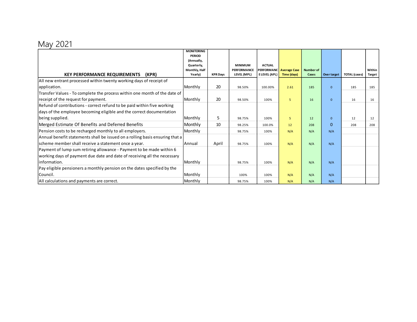# May 2021

|                                                                              | <b>MONITORING</b>           |                 |                |                     |                         |                  |              |                      |               |
|------------------------------------------------------------------------------|-----------------------------|-----------------|----------------|---------------------|-------------------------|------------------|--------------|----------------------|---------------|
|                                                                              | <b>PERIOD</b><br>(Annually, |                 |                |                     |                         |                  |              |                      |               |
|                                                                              | Quarterly,                  |                 | <b>MINIMUM</b> | <b>ACTUAL</b>       |                         |                  |              |                      |               |
|                                                                              | Monthly, Half               |                 | PERFORMANCE    |                     | PERFORMANC Average Case | <b>Number of</b> |              |                      | Within        |
| <b>KEY PERFORMANCE REQUIREMENTS</b><br>(KPR)                                 | Yearly)                     | <b>KPR Days</b> | LEVEL (MPL)    | <b>ELEVEL (APL)</b> | Time (days)             | Cases            | Over target  | <b>TOTAL</b> (cases) | <b>Target</b> |
| All new entrant processed within twenty working days of receipt of           |                             |                 |                |                     |                         |                  |              |                      |               |
| application.                                                                 | Monthly                     | 20              | 98.50%         | 100.00%             | 2.61                    | 185              | $\mathbf{0}$ | 185                  | 185           |
| Transfer Values - To complete the process within one month of the date of    |                             |                 |                |                     |                         |                  |              |                      |               |
| receipt of the request for payment.                                          | Monthly                     | 20              | 98.50%         | 100%                | 5                       | 16               | $\mathbf{0}$ | 16                   | 16            |
| Refund of contributions - correct refund to be paid within five working      |                             |                 |                |                     |                         |                  |              |                      |               |
| days of the employee becoming eligible and the correct documentation         |                             |                 |                |                     |                         |                  |              |                      |               |
| being supplied.                                                              | Monthly                     | 5               | 98.75%         | 100%                | 5                       | 12               | $\mathbf{0}$ | 12                   | 12            |
| Merged Estimate Of Benefits and Deferred Benefits                            | Monthly                     | 10              | 98.25%         | 100.0%              | 12                      | 208              | $\mathbf{0}$ | 208                  | 208           |
| Pension costs to be recharged monthly to all employers.                      | Monthly                     |                 | 98.75%         | 100%                | N/A                     | N/A              | N/A          |                      |               |
| Annual benefit statements shall be issued on a rolling basis ensuring that a |                             |                 |                |                     |                         |                  |              |                      |               |
| scheme member shall receive a statement once a year.                         | Annual                      | April           | 98.75%         | 100%                | N/A                     | N/A              | N/A          |                      |               |
| Payment of lump sum retiring allowance - Payment to be made within 6         |                             |                 |                |                     |                         |                  |              |                      |               |
| working days of payment due date and date of receiving all the necessary     |                             |                 |                |                     |                         |                  |              |                      |               |
| linformation.                                                                | Monthly                     |                 | 98.75%         | 100%                | N/A                     | N/A              | N/A          |                      |               |
| Pay eligible pensioners a monthly pension on the dates specified by the      |                             |                 |                |                     |                         |                  |              |                      |               |
| Council.                                                                     | Monthly                     |                 | 100%           | 100%                | N/A                     | N/A              | N/A          |                      |               |
| All calculations and payments are correct.                                   | Monthly                     |                 | 98.75%         | 100%                | N/A                     | N/A              | N/A          |                      |               |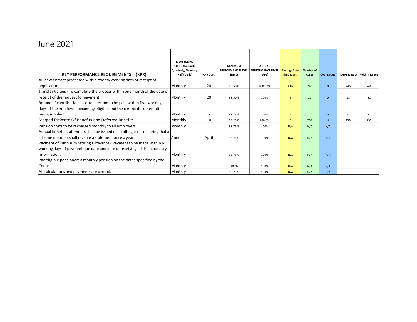# June 2021

|                                                                              | <b>MONITORING</b><br>PERIOD (Annually, |                 | <b>MINIMUM</b> | <b>ACTUAL</b>                       |                     |                  |              |                      |                      |
|------------------------------------------------------------------------------|----------------------------------------|-----------------|----------------|-------------------------------------|---------------------|------------------|--------------|----------------------|----------------------|
|                                                                              | Quarterly, Monthly,                    |                 |                | PERFORMANCE LEVEL PERFORMANCE LEVEL | <b>Average Case</b> | <b>Number of</b> |              |                      |                      |
| (KPR)<br><b>KEY PERFORMANCE REQUIREMENTS</b>                                 | Half Yearly)                           | <b>KPR Days</b> | (MPL)          | (APL)                               | Time (days)         | Cases            | Over target  | <b>TOTAL</b> (cases) | <b>Within Target</b> |
| All new entrant processed within twenty working days of receipt of           |                                        |                 |                |                                     |                     |                  |              |                      |                      |
| application.                                                                 | Monthly                                | 20              | 98.50%         | 100.00%                             | 1.87                | 246              | $\Omega$     | 246                  | 246                  |
| Transfer Values - To complete the process within one month of the date of    |                                        |                 |                |                                     |                     |                  |              |                      |                      |
| receipt of the request for payment.                                          | Monthly                                | 20              | 98.50%         | 100%                                | 6                   | 21               | $\mathbf{0}$ | 21                   | 21                   |
| Refund of contributions - correct refund to be paid within five working      |                                        |                 |                |                                     |                     |                  |              |                      |                      |
| days of the employee becoming eligible and the correct documentation         |                                        |                 |                |                                     |                     |                  |              |                      |                      |
| being supplied.                                                              | Monthly                                | 5               | 98.75%         | 100%                                | 4                   | 22               | $\mathbf{0}$ | 22                   | 22                   |
| Merged Estimate Of Benefits and Deferred Benefits                            | Monthly                                | 10              | 98.25%         | 100.0%                              | 5                   | 259              | $\Omega$     | 259                  | 259                  |
| Pension costs to be recharged monthly to all employers.                      | Monthly                                |                 | 98.75%         | 100%                                | N/A                 | N/A              | N/A          |                      |                      |
| Annual benefit statements shall be issued on a rolling basis ensuring that a |                                        |                 |                |                                     |                     |                  |              |                      |                      |
| scheme member shall receive a statement once a year.                         | Annual                                 | April           | 98.75%         | 100%                                | N/A                 | N/A              | N/A          |                      |                      |
| Payment of lump sum retiring allowance - Payment to be made within 6         |                                        |                 |                |                                     |                     |                  |              |                      |                      |
| working days of payment due date and date of receiving all the necessary     |                                        |                 |                |                                     |                     |                  |              |                      |                      |
| information.                                                                 | Monthly                                |                 | 98.75%         | 100%                                | N/A                 | N/A              | N/A          |                      |                      |
| Pay eligible pensioners a monthly pension on the dates specified by the      |                                        |                 |                |                                     |                     |                  |              |                      |                      |
| Council.                                                                     | Monthly                                |                 | 100%           | 100%                                | N/A                 | N/A              | N/A          |                      |                      |
| All calculations and payments are correct.                                   | Monthly                                |                 | 98.75%         | 100%                                | N/A                 | N/A              | N/A          |                      |                      |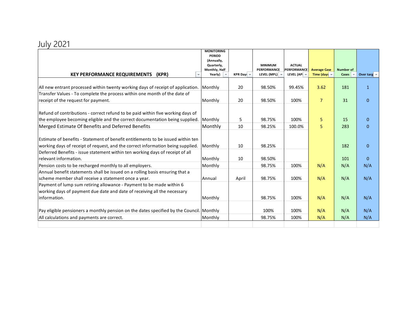# July 2021

|                                                                                          | <b>MONITORING</b><br><b>PERIOD</b> |                               |                                      |                                     |                       |                  |                      |
|------------------------------------------------------------------------------------------|------------------------------------|-------------------------------|--------------------------------------|-------------------------------------|-----------------------|------------------|----------------------|
|                                                                                          | (Annually,                         |                               |                                      |                                     |                       |                  |                      |
|                                                                                          | Quarterly,<br>Monthly, Half        |                               | <b>MINIMUM</b><br><b>PERFORMANCE</b> | <b>ACTUAL</b><br><b>PERFORMANCE</b> | <b>Average Case</b>   | <b>Number of</b> |                      |
| <b>KEY PERFORMANCE REQUIREMENTS</b><br>(KPR)                                             | Yearly)                            | KPR Day: $\blacktriangledown$ | LEVEL (MPL)                          | LEVEL (API $\overline{\phantom{a}}$ | Time (days $\sqrt{*}$ | <b>Cases</b>     | Over targ $\sqrt{*}$ |
|                                                                                          |                                    |                               |                                      |                                     |                       |                  |                      |
| All new entrant processed within twenty working days of receipt of application.          | Monthly                            | 20                            | 98.50%                               | 99.45%                              | 3.62                  | 181              | $\mathbf{1}$         |
| Transfer Values - To complete the process within one month of the date of                |                                    |                               |                                      |                                     |                       |                  |                      |
| receipt of the request for payment.                                                      | Monthly                            | 20                            | 98.50%                               | 100%                                | $\overline{7}$        | 31               | $\Omega$             |
|                                                                                          |                                    |                               |                                      |                                     |                       |                  |                      |
| Refund of contributions - correct refund to be paid within five working days of          |                                    |                               |                                      |                                     |                       |                  |                      |
| the employee becoming eligible and the correct documentation being supplied.             | Monthly                            | 5                             | 98.75%                               | 100%                                | 5                     | 15               | $\Omega$             |
| Merged Estimate Of Benefits and Deferred Benefits                                        | Monthly                            | 10                            | 98.25%                               | 100.0%                              | 5                     | 283              | $\Omega$             |
|                                                                                          |                                    |                               |                                      |                                     |                       |                  |                      |
| Estimate of benefits - Statement of benefit entitlements to be issued within ten         |                                    |                               |                                      |                                     |                       |                  |                      |
| working days of receipt of request, and the correct information being supplied.          | Monthly                            | 10                            | 98.25%                               |                                     |                       | 182              | $\Omega$             |
| Deferred Benefits - issue statement within ten working days of receipt of all            |                                    |                               |                                      |                                     |                       |                  |                      |
| relevant information.                                                                    | Monthly                            | 10                            | 98.50%                               |                                     |                       | 101              | $\mathbf{0}$         |
| Pension costs to be recharged monthly to all employers.                                  | Monthly                            |                               | 98.75%                               | 100%                                | N/A                   | N/A              | N/A                  |
| Annual benefit statements shall be issued on a rolling basis ensuring that a             |                                    |                               |                                      |                                     |                       |                  |                      |
| scheme member shall receive a statement once a year.                                     | Annual                             | April                         | 98.75%                               | 100%                                | N/A                   | N/A              | N/A                  |
| Payment of lump sum retiring allowance - Payment to be made within 6                     |                                    |                               |                                      |                                     |                       |                  |                      |
| working days of payment due date and date of receiving all the necessary                 |                                    |                               |                                      |                                     |                       |                  |                      |
| information.                                                                             | Monthly                            |                               | 98.75%                               | 100%                                | N/A                   | N/A              | N/A                  |
|                                                                                          |                                    |                               |                                      |                                     |                       |                  |                      |
| Pay eligible pensioners a monthly pension on the dates specified by the Council. Monthly |                                    |                               | 100%                                 | 100%                                | N/A                   | N/A              | N/A                  |
| All calculations and payments are correct.                                               | Monthly                            |                               | 98.75%                               | 100%                                | N/A                   | N/A              | N/A                  |
|                                                                                          |                                    |                               |                                      |                                     |                       |                  |                      |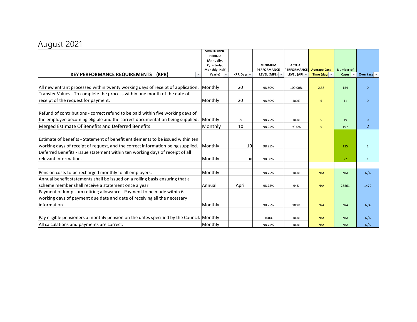## August 2021

|                                                                                          | <b>MONITORING</b><br><b>PERIOD</b> |                                      |                    |                    |                       |                  |                      |
|------------------------------------------------------------------------------------------|------------------------------------|--------------------------------------|--------------------|--------------------|-----------------------|------------------|----------------------|
|                                                                                          | (Annually,                         |                                      |                    |                    |                       |                  |                      |
|                                                                                          | Quarterly,                         |                                      | <b>MINIMUM</b>     | <b>ACTUAL</b>      |                       |                  |                      |
|                                                                                          | Monthly, Half                      |                                      | <b>PERFORMANCE</b> | <b>PERFORMANCE</b> | <b>Average Case</b>   | <b>Number of</b> |                      |
| <b>KEY PERFORMANCE REQUIREMENTS</b><br>(KPR)                                             | Yearly)                            | <b>KPR Day:</b> $\blacktriangledown$ | LEVEL (MPL)        | LEVEL (API -       | Time (days $\sqrt{*}$ | <b>Cases</b>     | Over targ $\sqrt{ }$ |
|                                                                                          |                                    |                                      |                    |                    |                       |                  |                      |
| All new entrant processed within twenty working days of receipt of application.          | Monthly                            | 20                                   | 98.50%             | 100.00%            | 2.38                  | 154              | $\mathbf{0}$         |
| Transfer Values - To complete the process within one month of the date of                |                                    |                                      |                    |                    |                       |                  |                      |
| receipt of the request for payment.                                                      | Monthly                            | 20                                   | 98.50%             | 100%               | 5                     | 11               | $\mathbf{0}$         |
|                                                                                          |                                    |                                      |                    |                    |                       |                  |                      |
| Refund of contributions - correct refund to be paid within five working days of          |                                    |                                      |                    |                    |                       |                  |                      |
| the employee becoming eligible and the correct documentation being supplied.             | Monthly                            | 5                                    | 98.75%             | 100%               | 5                     | 19               | $\Omega$             |
| Merged Estimate Of Benefits and Deferred Benefits                                        | Monthly                            | 10                                   | 98.25%             | 99.0%              | 5                     | 197              | $\overline{2}$       |
|                                                                                          |                                    |                                      |                    |                    |                       |                  |                      |
| Estimate of benefits - Statement of benefit entitlements to be issued within ten         |                                    |                                      |                    |                    |                       |                  |                      |
| working days of receipt of request, and the correct information being supplied.          | Monthly                            | 10                                   | 98.25%             |                    |                       | 125              | $\mathbf{1}$         |
| Deferred Benefits - issue statement within ten working days of receipt of all            |                                    |                                      |                    |                    |                       |                  |                      |
| relevant information.                                                                    | Monthly                            | 10                                   | 98.50%             |                    |                       | 72               | $\mathbf{1}$         |
|                                                                                          |                                    |                                      |                    |                    |                       |                  |                      |
| Pension costs to be recharged monthly to all employers.                                  | Monthly                            |                                      | 98.75%             | 100%               | N/A                   | N/A              | N/A                  |
| Annual benefit statements shall be issued on a rolling basis ensuring that a             |                                    |                                      |                    |                    |                       |                  |                      |
| scheme member shall receive a statement once a year.                                     | Annual                             | April                                | 98.75%             | 94%                | N/A                   | 23561            | 1479                 |
| Payment of lump sum retiring allowance - Payment to be made within 6                     |                                    |                                      |                    |                    |                       |                  |                      |
| working days of payment due date and date of receiving all the necessary                 |                                    |                                      |                    |                    |                       |                  |                      |
| information.                                                                             | Monthly                            |                                      | 98.75%             | 100%               | N/A                   | N/A              | N/A                  |
|                                                                                          |                                    |                                      |                    |                    |                       |                  |                      |
| Pay eligible pensioners a monthly pension on the dates specified by the Council. Monthly |                                    |                                      | 100%               | 100%               | N/A                   | N/A              | N/A                  |
| All calculations and payments are correct.                                               | Monthly                            |                                      | 98.75%             | 100%               | N/A                   | N/A              | N/A                  |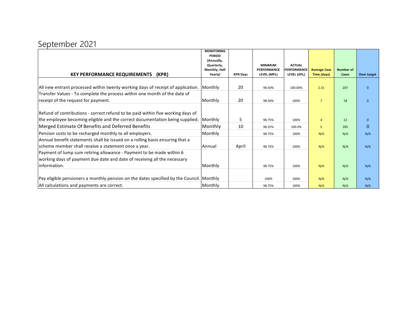# September 2021

|                                                                                          | <b>MONITORING</b><br><b>PERIOD</b> |                 |                |                    |                     |                  |              |
|------------------------------------------------------------------------------------------|------------------------------------|-----------------|----------------|--------------------|---------------------|------------------|--------------|
|                                                                                          | (Annually,                         |                 |                |                    |                     |                  |              |
|                                                                                          | Quarterly,                         |                 | <b>MINIMUM</b> | <b>ACTUAL</b>      |                     |                  |              |
|                                                                                          | Monthly, Half                      |                 | PERFORMANCE    | <b>PERFORMANCE</b> | <b>Average Case</b> | <b>Number of</b> |              |
| <b>KEY PERFORMANCE REQUIREMENTS</b><br>(KPR)                                             | Yearly)                            | <b>KPR Days</b> | LEVEL (MPL)    | LEVEL (APL)        | Time (days)         | Cases            | Over target  |
| All new entrant processed within twenty working days of receipt of application.          | Monthly                            | 20              | 98.50%         | 100.00%            | 2.31                | 207              | $\Omega$     |
| Transfer Values - To complete the process within one month of the date of                |                                    |                 |                |                    |                     |                  |              |
| receipt of the request for payment.                                                      | Monthly                            | 20              | 98.50%         | 100%               | $\overline{7}$      | 18               | $\mathbf{0}$ |
|                                                                                          |                                    |                 |                |                    |                     |                  |              |
| Refund of contributions - correct refund to be paid within five working days of          |                                    |                 |                |                    |                     |                  |              |
| the employee becoming eligible and the correct documentation being supplied.             | Monthly                            | 5               | 98.75%         | 100%               | $\overline{4}$      | 12               | $\mathbf{0}$ |
| Merged Estimate Of Benefits and Deferred Benefits                                        | Monthly                            | 10              | 98.25%         | 100.0%             | 5                   | 265              | $\mathbf{0}$ |
| Pension costs to be recharged monthly to all employers.                                  | Monthly                            |                 | 98.75%         | 100%               | N/A                 | N/A              | N/A          |
| Annual benefit statements shall be issued on a rolling basis ensuring that a             |                                    |                 |                |                    |                     |                  |              |
| scheme member shall receive a statement once a year.                                     | Annual                             | April           | 98.75%         | 100%               | N/A                 | N/A              | N/A          |
| Payment of lump sum retiring allowance - Payment to be made within 6                     |                                    |                 |                |                    |                     |                  |              |
| working days of payment due date and date of receiving all the necessary                 |                                    |                 |                |                    |                     |                  |              |
| linformation.                                                                            | Monthly                            |                 | 98.75%         | 100%               | N/A                 | N/A              | N/A          |
|                                                                                          |                                    |                 |                |                    |                     |                  |              |
| Pay eligible pensioners a monthly pension on the dates specified by the Council. Monthly |                                    |                 | 100%           | 100%               | N/A                 | N/A              | N/A          |
| All calculations and payments are correct.                                               | Monthly                            |                 | 98.75%         | 100%               | N/A                 | N/A              | N/A          |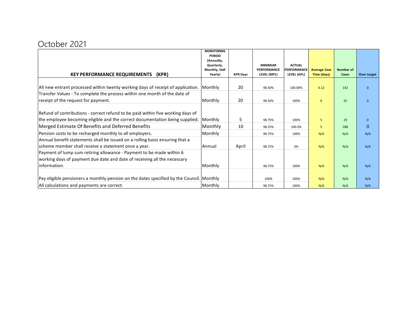## October 2021

|                                                                                          | <b>MONITORING</b><br><b>PERIOD</b> |                 |                    |               |                     |           |              |
|------------------------------------------------------------------------------------------|------------------------------------|-----------------|--------------------|---------------|---------------------|-----------|--------------|
|                                                                                          | (Annually,                         |                 |                    |               |                     |           |              |
|                                                                                          | Quarterly,                         |                 | <b>MINIMUM</b>     | <b>ACTUAL</b> |                     |           |              |
|                                                                                          | Monthly, Half                      |                 | <b>PERFORMANCE</b> | PERFORMANCE   | <b>Average Case</b> | Number of |              |
| <b>KEY PERFORMANCE REQUIREMENTS</b><br>(KPR)                                             | Yearly)                            | <b>KPR Days</b> | LEVEL (MPL)        | LEVEL (APL)   | Time (days)         | Cases     | Over target  |
|                                                                                          |                                    |                 |                    |               |                     |           |              |
| All new entrant processed within twenty working days of receipt of application.          | Monthly                            | 20              | 98.50%             | 100.00%       | 4.12                | 142       | $\mathbf{0}$ |
| Transfer Values - To complete the process within one month of the date of                |                                    |                 |                    |               |                     |           |              |
| receipt of the request for payment.                                                      | Monthly                            | 20              | 98.50%             | 100%          | 6                   | 25        | $\mathbf{0}$ |
|                                                                                          |                                    |                 |                    |               |                     |           |              |
| Refund of contributions - correct refund to be paid within five working days of          |                                    |                 |                    |               |                     |           |              |
| the employee becoming eligible and the correct documentation being supplied.             | Monthly                            | 5               | 98.75%             | 100%          | 5                   | 19        | $\mathbf{0}$ |
| Merged Estimate Of Benefits and Deferred Benefits                                        | Monthly                            | 10              | 98.25%             | 100.0%        | 5                   | 288       | $\mathbf{0}$ |
| Pension costs to be recharged monthly to all employers.                                  | Monthly                            |                 | 98.75%             | 100%          | N/A                 | N/A       | N/A          |
| Annual benefit statements shall be issued on a rolling basis ensuring that a             |                                    |                 |                    |               |                     |           |              |
| scheme member shall receive a statement once a year.                                     | Annual                             | April           | 98.75%             | 0%            | N/A                 | N/A       | N/A          |
| Payment of lump sum retiring allowance - Payment to be made within 6                     |                                    |                 |                    |               |                     |           |              |
| working days of payment due date and date of receiving all the necessary                 |                                    |                 |                    |               |                     |           |              |
| linformation.                                                                            | Monthly                            |                 | 98.75%             | 100%          | N/A                 | N/A       | N/A          |
|                                                                                          |                                    |                 |                    |               |                     |           |              |
| Pay eligible pensioners a monthly pension on the dates specified by the Council. Monthly |                                    |                 | 100%               | 100%          | N/A                 | N/A       | N/A          |
| All calculations and payments are correct.                                               | Monthly                            |                 | 98.75%             | 100%          | N/A                 | N/A       | N/A          |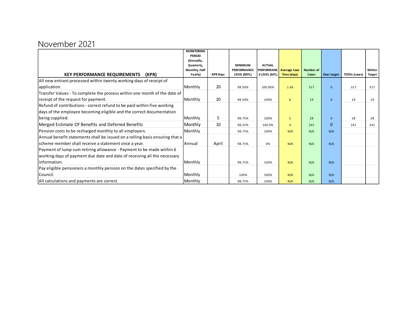## November 2021

|                                                                              | <b>MONITORING</b>           |                 |                    |                     |                     |                  |                |                      |               |
|------------------------------------------------------------------------------|-----------------------------|-----------------|--------------------|---------------------|---------------------|------------------|----------------|----------------------|---------------|
|                                                                              | <b>PERIOD</b><br>(Annually, |                 |                    |                     |                     |                  |                |                      |               |
|                                                                              | Quarterly,                  |                 | <b>MINIMUM</b>     | <b>ACTUAL</b>       |                     |                  |                |                      |               |
|                                                                              | Monthly, Half               |                 | <b>PERFORMANCE</b> | <b>PERFORMANC</b>   | <b>Average Case</b> | <b>Number of</b> |                |                      | Within        |
| <b>KEY PERFORMANCE REQUIREMENTS</b><br>(KPR)                                 | Yearly)                     | <b>KPR Days</b> | LEVEL (MPL)        | <b>ELEVEL (APL)</b> | Time (days)         | Cases            | Over target    | <b>TOTAL</b> (cases) | <b>Target</b> |
| All new entrant processed within twenty working days of receipt of           |                             |                 |                    |                     |                     |                  |                |                      |               |
| application.                                                                 | Monthly                     | 20              | 98.50%             | 100.00%             | 1.45                | 317              | $\Omega$       | 317                  | 317           |
| Transfer Values - To complete the process within one month of the date of    |                             |                 |                    |                     |                     |                  |                |                      |               |
| receipt of the request for payment.                                          | Monthly                     | 20              | 98.50%             | 100%                | 6                   | 19               | $\mathbf{0}$   | 19                   | 19            |
| Refund of contributions - correct refund to be paid within five working      |                             |                 |                    |                     |                     |                  |                |                      |               |
| days of the employee becoming eligible and the correct documentation         |                             |                 |                    |                     |                     |                  |                |                      |               |
| being supplied.                                                              | Monthly                     | 5               | 98.75%             | 100%                | 5                   | 28               | $\overline{0}$ | 28                   | 28            |
| Merged Estimate Of Benefits and Deferred Benefits                            | Monthly                     | 10              | 98.25%             | 100.0%              | $\overline{a}$      | 241              | $\Omega$       | 241                  | 241           |
| Pension costs to be recharged monthly to all employers.                      | Monthly                     |                 | 98.75%             | 100%                | N/A                 | N/A              | N/A            |                      |               |
| Annual benefit statements shall be issued on a rolling basis ensuring that a |                             |                 |                    |                     |                     |                  |                |                      |               |
| scheme member shall receive a statement once a year.                         | Annual                      | April           | 98.75%             | 0%                  | N/A                 | N/A              | N/A            |                      |               |
| Payment of lump sum retiring allowance - Payment to be made within 6         |                             |                 |                    |                     |                     |                  |                |                      |               |
| working days of payment due date and date of receiving all the necessary     |                             |                 |                    |                     |                     |                  |                |                      |               |
| linformation.                                                                | Monthly                     |                 | 98.75%             | 100%                | N/A                 | N/A              | N/A            |                      |               |
| Pay eligible pensioners a monthly pension on the dates specified by the      |                             |                 |                    |                     |                     |                  |                |                      |               |
| Council.                                                                     | Monthly                     |                 | 100%               | 100%                | N/A                 | N/A              | N/A            |                      |               |
| All calculations and payments are correct.                                   | Monthly                     |                 | 98.75%             | 100%                | N/A                 | N/A              | N/A            |                      |               |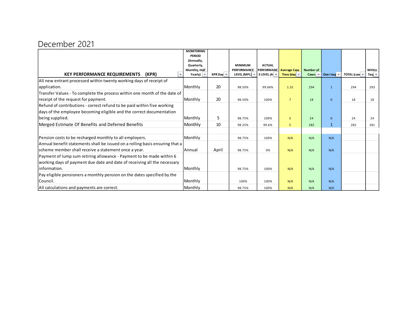## December 2021

|                                                                              | <b>MONITORING</b><br><b>PERIOD</b>  |                   |                            |                                              |                                                           |                           |                                    |             |                         |
|------------------------------------------------------------------------------|-------------------------------------|-------------------|----------------------------|----------------------------------------------|-----------------------------------------------------------|---------------------------|------------------------------------|-------------|-------------------------|
|                                                                              | (Annually,                          |                   |                            |                                              |                                                           |                           |                                    |             |                         |
|                                                                              | Quarterly,                          |                   | <b>MINIMUM</b>             | <b>ACTUAL</b>                                |                                                           |                           |                                    |             |                         |
| <b>KEY PERFORMANCE REQUIREMENTS</b><br>(KPR)                                 | Monthly, Half<br>Yearly) $\sqrt{ }$ | KPR Dav. $\equiv$ | PERFORMANCE<br>LEVEL (MPL) | <b>PERFORMANC</b><br>E LEVEL (A $\vert \neq$ | <b>Average Case</b><br>Time (day $\overline{\phantom{a}}$ | <b>Number of</b><br>Cases | Over targ $\overline{\phantom{a}}$ | TOTAL (case | Within<br>Targ $\equiv$ |
| All new entrant processed within twenty working days of receipt of           |                                     |                   |                            |                                              |                                                           |                           |                                    |             |                         |
| application.                                                                 | Monthly                             | 20                | 98.50%                     | 99.66%                                       | 1.31                                                      | 294                       | $\mathbf{1}$                       | 294         | 293                     |
| Transfer Values - To complete the process within one month of the date of    |                                     |                   |                            |                                              |                                                           |                           |                                    |             |                         |
| receipt of the request for payment.                                          | Monthly                             | 20                | 98.50%                     | 100%                                         | $\overline{7}$                                            | 18                        | $\mathbf{0}$                       | 18          | 18                      |
| Refund of contributions - correct refund to be paid within five working      |                                     |                   |                            |                                              |                                                           |                           |                                    |             |                         |
| days of the employee becoming eligible and the correct documentation         |                                     |                   |                            |                                              |                                                           |                           |                                    |             |                         |
| being supplied.                                                              | Monthly                             | 5                 | 98.75%                     | 100%                                         | 5                                                         | 24                        | $\overline{0}$                     | 24          | 24                      |
| Merged Estimate Of Benefits and Deferred Benefits                            | Monthly                             | 10                | 98.25%                     | 99.6%                                        | 5                                                         | 282                       | $\mathbf{1}$                       | 282         | 281                     |
|                                                                              |                                     |                   |                            |                                              |                                                           |                           |                                    |             |                         |
| Pension costs to be recharged monthly to all employers.                      | Monthly                             |                   | 98.75%                     | 100%                                         | N/A                                                       | N/A                       | N/A                                |             |                         |
| Annual benefit statements shall be issued on a rolling basis ensuring that a |                                     |                   |                            |                                              |                                                           |                           |                                    |             |                         |
| scheme member shall receive a statement once a year.                         | Annual                              | April             | 98.75%                     | 0%                                           | N/A                                                       | N/A                       | N/A                                |             |                         |
| Payment of lump sum retiring allowance - Payment to be made within 6         |                                     |                   |                            |                                              |                                                           |                           |                                    |             |                         |
| working days of payment due date and date of receiving all the necessary     |                                     |                   |                            |                                              |                                                           |                           |                                    |             |                         |
| linformation.                                                                | Monthly                             |                   | 98.75%                     | 100%                                         | N/A                                                       | N/A                       | N/A                                |             |                         |
| Pay eligible pensioners a monthly pension on the dates specified by the      |                                     |                   |                            |                                              |                                                           |                           |                                    |             |                         |
| Council.                                                                     | Monthly                             |                   | 100%                       | 100%                                         | N/A                                                       | N/A                       | N/A                                |             |                         |
| All calculations and payments are correct.                                   | Monthly                             |                   | 98.75%                     | 100%                                         | N/A                                                       | N/A                       | N/A                                |             |                         |